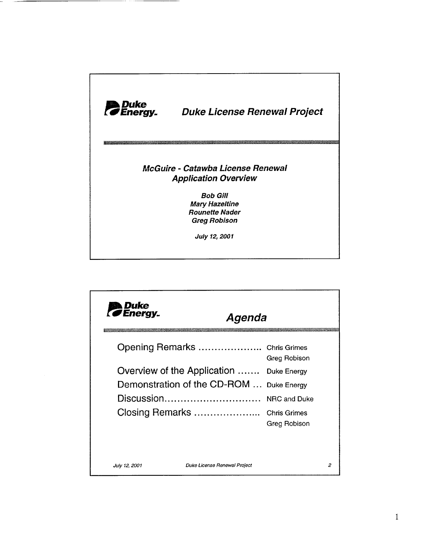

| <b>Duke</b><br><b><i>CEnergy.</i></b> | Agenda                                                       |                                                                  |   |
|---------------------------------------|--------------------------------------------------------------|------------------------------------------------------------------|---|
|                                       | Opening Remarks  Chris Grimes<br>Overview of the Application | Greg Robison<br>Duke Energy                                      |   |
|                                       | Demonstration of the CD-ROM<br>Discussion<br>Closing Remarks | <b>Duke Energy</b><br><b>NRC and Duke</b><br><b>Chris Grimes</b> |   |
|                                       |                                                              | Greg Robison                                                     |   |
| July 12, 2001                         | Duke License Renewal Project                                 |                                                                  | 2 |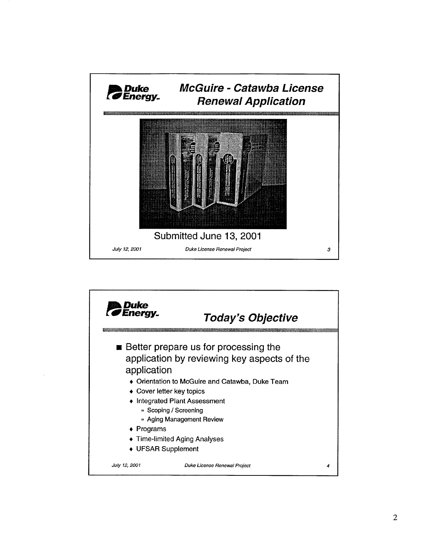

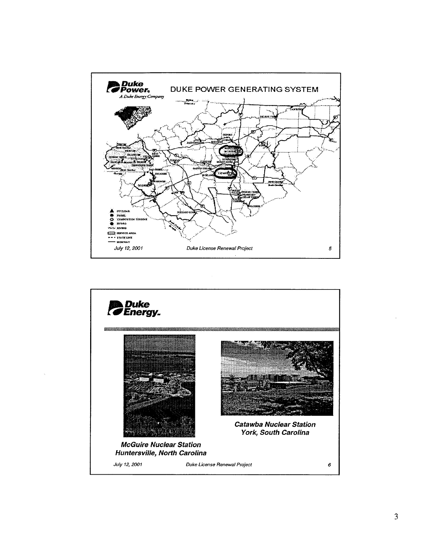

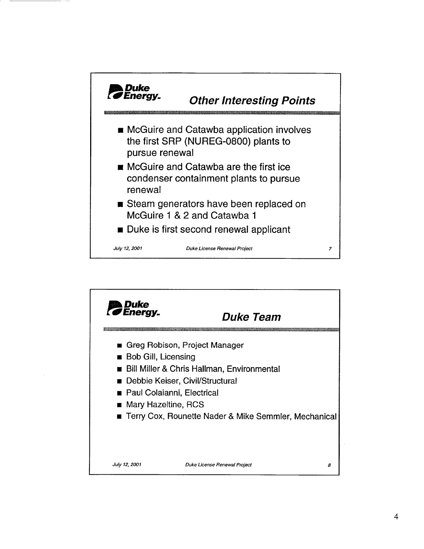

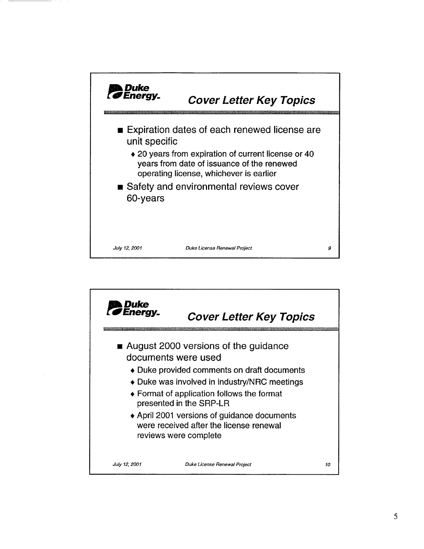

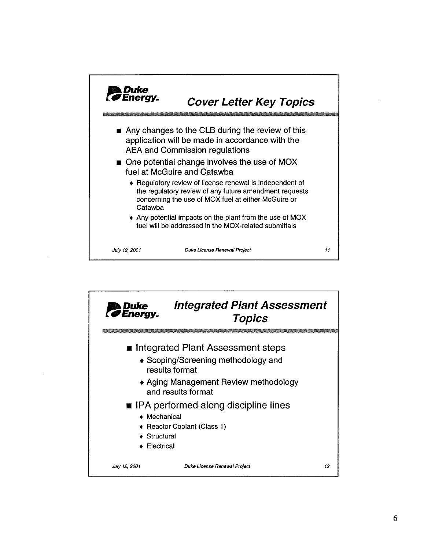

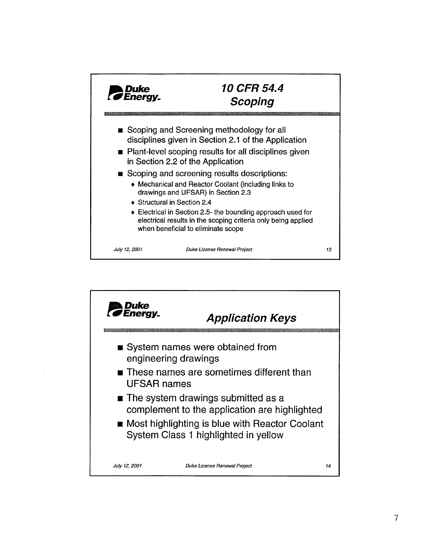

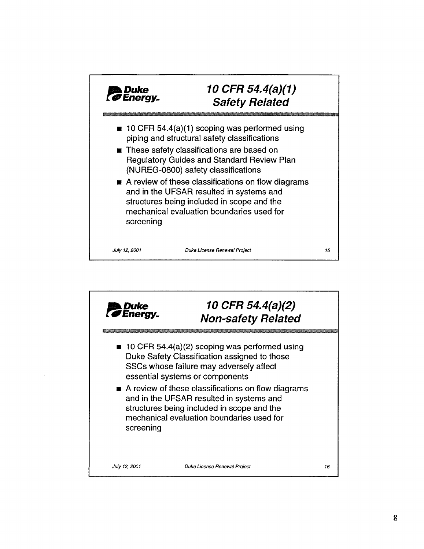

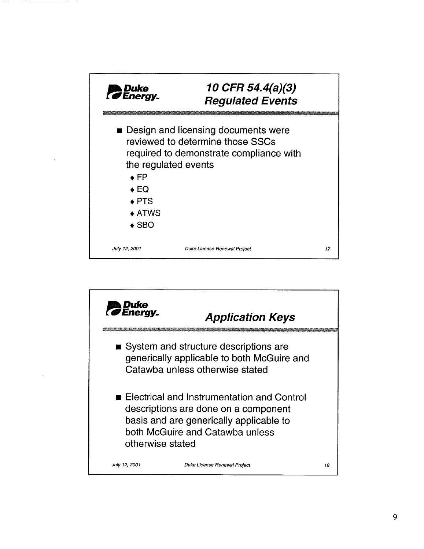| <b>Duke</b><br><b><i>SEnergy.</i></b>           | 10 CFR 54.4(a)(3)<br><b>Regulated Events</b>                                                                                                      |    |
|-------------------------------------------------|---------------------------------------------------------------------------------------------------------------------------------------------------|----|
| $\bullet$ FP<br>$\bullet$ EQ<br>$\triangle$ PTS | <b>Design and licensing documents were</b><br>reviewed to determine those SSCs<br>required to demonstrate compliance with<br>the regulated events |    |
| $\triangle$ ATWS<br>$\triangle$ SBO             |                                                                                                                                                   |    |
| July 12, 2001                                   | Duke License Renewal Project                                                                                                                      | 17 |

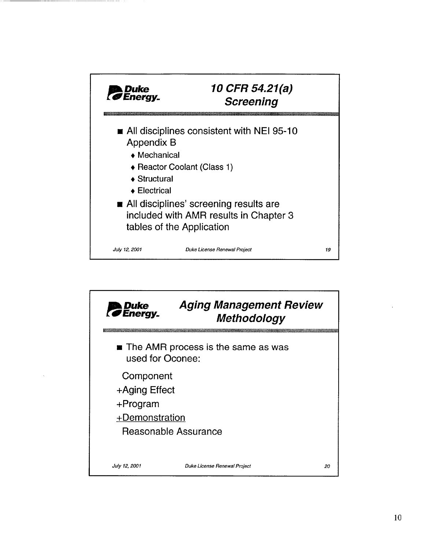

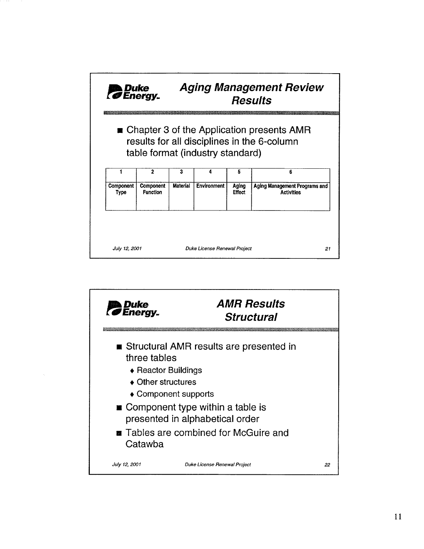| Duke<br>BEnergy.  |                                                                                                                                             | <b>Aging Management Review</b><br><b>Results</b> |                              |                 |                                                    |  |  |  |
|-------------------|---------------------------------------------------------------------------------------------------------------------------------------------|--------------------------------------------------|------------------------------|-----------------|----------------------------------------------------|--|--|--|
|                   | $\blacksquare$ Chapter 3 of the Application presents AMR<br>results for all disciplines in the 6-column<br>table format (industry standard) |                                                  |                              |                 |                                                    |  |  |  |
|                   | 2                                                                                                                                           | 3                                                | 4                            | 5               | 6                                                  |  |  |  |
| Component<br>Type | <b>Component</b><br><b>Function</b>                                                                                                         | <b>Material</b>                                  | <b>Environment</b>           | Aging<br>Effect | Aging Management Programs and<br><b>Activities</b> |  |  |  |
| July 12, 2001     |                                                                                                                                             |                                                  | Duke License Renewal Project |                 | 21                                                 |  |  |  |

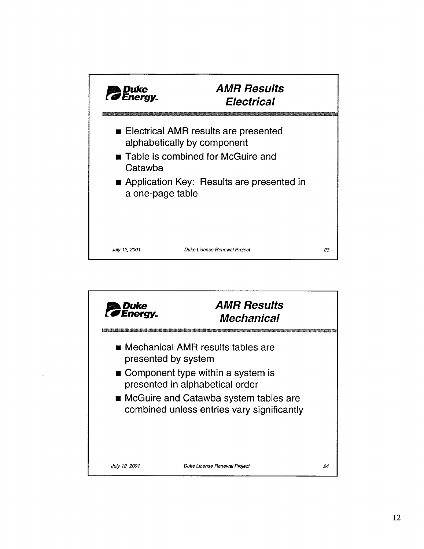

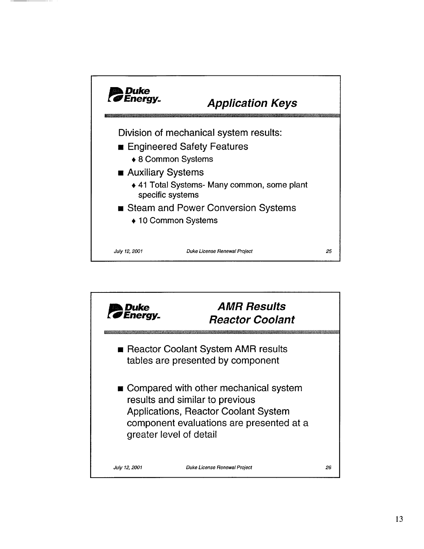

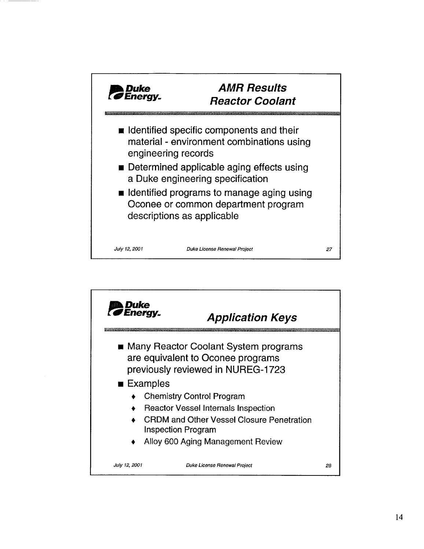

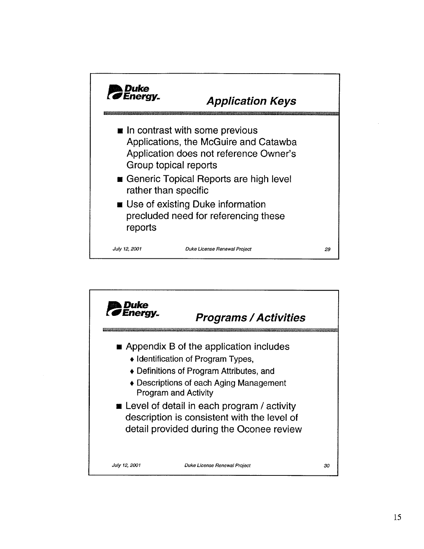

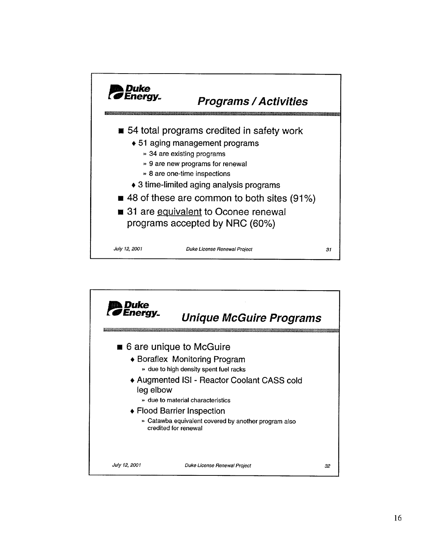

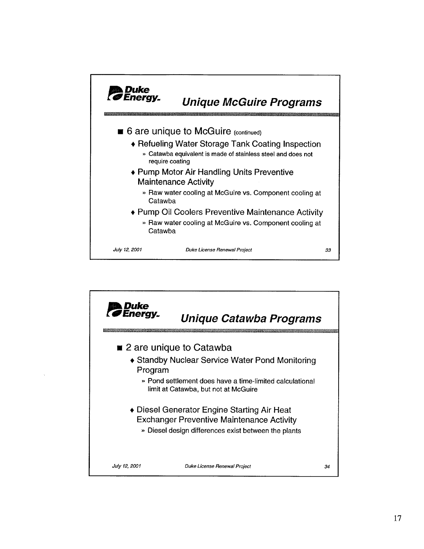

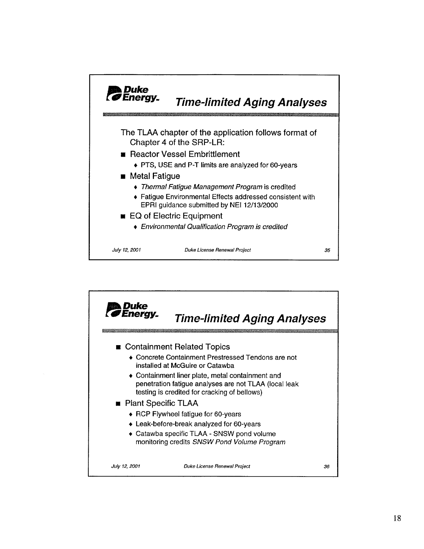